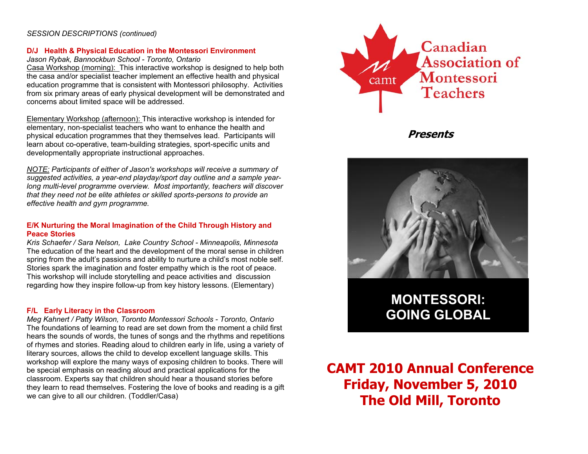#### *SESSION DESCRIPTIONS (continued)*

#### **D/J Health & Physical Education in the Montessori Environment**

#### *Jason Rybak, Bannockbun School - Toronto, Ontario*

Casa Workshop (morning): This interactive workshop is designed to help both the casa and/or specialist teacher implement an effective health and physical education programme that is consistent with Montessori philosophy. Activities from six primary areas of early physical development will be demonstrated and concerns about limited space will be addressed.

Elementary Workshop (afternoon): This interactive workshop is intended for elementary, non-specialist teachers who want to enhance the health and physical education programmes that they themselves lead. Participants will learn about co-operative, team-building strategies, sport-specific units and developmentally appropriate instructional approaches.

*NOTE: Participants of either of Jason's workshops will receive a summary of suggested activities, a year-end playday/sport day outline and a sample yearlong multi-level programme overview. Most importantly, teachers will discover that they need not be elite athletes or skilled sports-persons to provide an effective health and gym programme.* 

#### **E/K Nurturing the Moral Imagination of the Child Through History and Peace Stories**

*Kris Schaefer / Sara Nelson, Lake Country School - Minneapolis, Minnesota*  The education of the heart and the development of the moral sense in children spring from the adult's passions and ability to nurture a child's most noble self. Stories spark the imagination and foster empathy which is the root of peace. This workshop will include storytelling and peace activities and discussion regarding how they inspire follow-up from key history lessons. (Elementary)

#### **F/L Early Literacy in the Classroom**

*Meg Kahnert / Patty Wilson, Toronto Montessori Schools - Toronto, Ontario*  The foundations of learning to read are set down from the moment a child first hears the sounds of words, the tunes of songs and the rhythms and repetitions of rhymes and stories. Reading aloud to children early in life, using a variety of literary sources, allows the child to develop excellent language skills. This workshop will explore the many ways of exposing children to books. There will be special emphasis on reading aloud and practical applications for the classroom. Experts say that children should hear a thousand stories before they learn to read themselves. Fostering the love of books and reading is a gift we can give to all our children. (Toddler/Casa)



**Presents** 



**MONTESSORI: GOING GLOBAL** 

**CAMT 2010 Annual Conference Friday, November 5, 2010 The Old Mill, Toronto**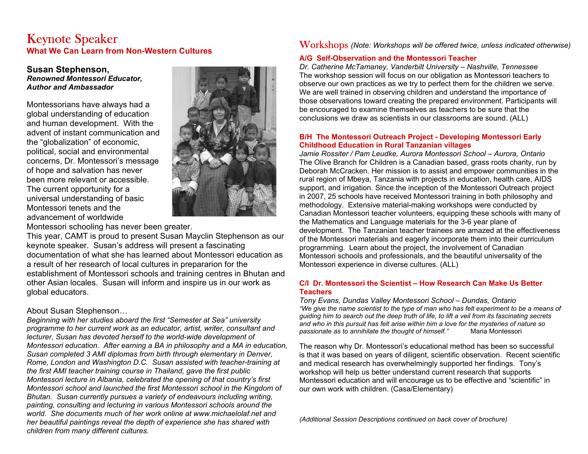## Keynote Speaker **What We Can Learn from Non-Western Cultures**

#### **Susan Stephenson,**  *Renowned Montessori Educator, Author and Ambassador*

Montessorians have always had a global understanding of education and human development. With the advent of instant communication and the "globalization" of economic, political, social and environmental concerns, Dr. Montessori's message of hope and salvation has never been more relevant or accessible. The current opportunity for a universal understanding of basic Montessori tenets and the advancement of worldwide



Montessori schooling has never been greater.

This year, CAMT is proud to present Susan Mayclin Stephenson as our keynote speaker. Susan's address will present a fascinating documentation of what she has learned about Montessori education as a result of her research of local cultures in prepararion for the establishment of Montessori schools and training centres in Bhutan and other Asian locales. Susan will inform and inspire us in our work as global educators.

### About Susan Stephenson…

*Beginning with her studies aboard the first "Semester at Sea" university programme to her current work as an educator, artist, writer, consultant and lecturer, Susan has devoted herself to the world-wide development of Montessori education. After earning a BA in philosophy and a MA in education, Susan completed 3 AMI diplomas from birth through elementary in Denver, Rome, London and Washington D.C. Susan assisted with teacher-training at the first AMI teacher training course in Thailand, gave the first public Montessori lecture in Albania, celebrated the opening of that country's first Montessori school and launched the first Montessori school in the Kingdom of Bhutan. Susan currently pursues a variety of endeavours including writing, painting, consulting and lecturing in various Montessori schools around the world. She documents much of her work online at www.michaelolaf.net and her beautiful paintings reveal the depth of experience she has shared with children from many different cultures.*

## Workshops *(Note: Workshops will be offered twice, unless indicated otherwise)*

#### **A/G Self-Observation and the Montessori Teacher**

*Dr. Catherine McTamaney, Vanderbilt University – Nashville, Tennessee*  The workshop session will focus on our obligation as Montessori teachers to observe our own practices as we try to perfect them for the children we serve. We are well trained in observing children and understand the importance of those observations toward creating the prepared environment. Participants will be encouraged to examine themselves as teachers to be sure that the conclusions we draw as scientists in our classrooms are sound. (ALL)

#### **B/H The Montessori Outreach Project - Developing Montessori Early Childhood Education in Rural Tanzanian villages**

*Jamie Rossiter / Pam Leudke, Aurora Montessori School – Aurora, Ontario*  The Olive Branch for Children is a Canadian based, grass roots charity, run by Deborah McCracken. Her mission is to assist and empower communities in the rural region of Mbeya, Tanzania with projects in education, health care, AIDS support, and irrigation. Since the inception of the Montessori Outreach project in 2007, 25 schools have received Montessori training in both philosophy and methodology. Extensive material-making workshops were conducted by Canadian Montessori teacher volunteers, equipping these schools with many of the Mathematics and Language materials for the 3-6 year plane of development. The Tanzanian teacher trainees are amazed at the effectiveness of the Montessori materials and eagerly incorporate them into their curriculum programming. Learn about the project, the involvement of Canadian Montessori schools and professionals, and the beautiful universality of the Montessori experience in diverse cultures. (ALL)

#### **C/I Dr. Montessori the Scientist – How Research Can Make Us Better Teachers**

*Tony Evans, Dundas Valley Montessori School – Dundas, Ontario "We give the name scientist to the type of man who has felt experiment to be a means of guiding him to search out the deep truth of life, to lift a veil from its fascinating secrets and who in this pursuit has felt arise within him a love for the mysteries of nature so passionate as to annihilate the thought of himself."* Maria Montessori

The reason why Dr. Montessori's educational method has been so successful is that it was based on years of diligent, scientific observation. Recent scientific and medical research has overwhelmingly supported her findings. Tony's workshop will help us better understand current research that supports Montessori education and will encourage us to be effective and "scientific" in our own work with children. (Casa/Elementary)

*(Additional Session Descriptions continued on back cover of brochure)*